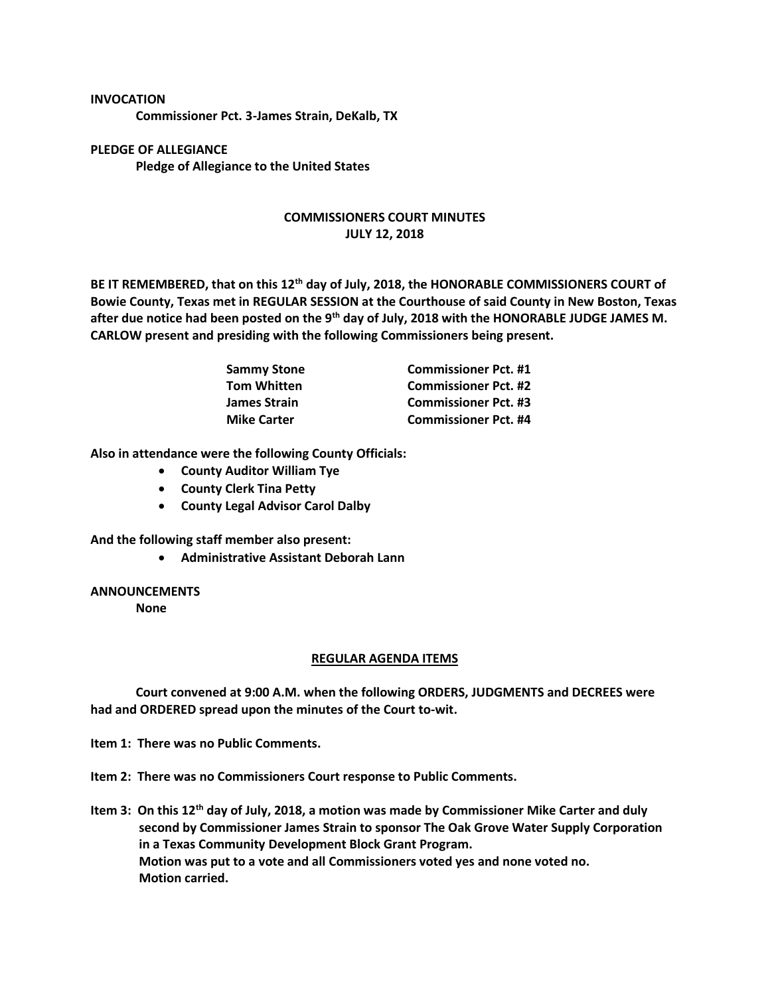## **INVOCATION**

**Commissioner Pct. 3-James Strain, DeKalb, TX**

**PLEDGE OF ALLEGIANCE Pledge of Allegiance to the United States**

## **COMMISSIONERS COURT MINUTES JULY 12, 2018**

**BE IT REMEMBERED, that on this 12th day of July, 2018, the HONORABLE COMMISSIONERS COURT of Bowie County, Texas met in REGULAR SESSION at the Courthouse of said County in New Boston, Texas after due notice had been posted on the 9th day of July, 2018 with the HONORABLE JUDGE JAMES M. CARLOW present and presiding with the following Commissioners being present.**

| <b>Sammy Stone</b>  | <b>Commissioner Pct. #1</b> |
|---------------------|-----------------------------|
| <b>Tom Whitten</b>  | <b>Commissioner Pct. #2</b> |
| <b>James Strain</b> | <b>Commissioner Pct. #3</b> |
| <b>Mike Carter</b>  | <b>Commissioner Pct. #4</b> |

**Also in attendance were the following County Officials:**

- **County Auditor William Tye**
- **County Clerk Tina Petty**
- **County Legal Advisor Carol Dalby**

**And the following staff member also present:**

• **Administrative Assistant Deborah Lann**

## **ANNOUNCEMENTS**

**None**

## **REGULAR AGENDA ITEMS**

**Court convened at 9:00 A.M. when the following ORDERS, JUDGMENTS and DECREES were had and ORDERED spread upon the minutes of the Court to-wit.**

**Item 1: There was no Public Comments.**

**Item 2: There was no Commissioners Court response to Public Comments.**

**Item 3: On this 12th day of July, 2018, a motion was made by Commissioner Mike Carter and duly second by Commissioner James Strain to sponsor The Oak Grove Water Supply Corporation in a Texas Community Development Block Grant Program. Motion was put to a vote and all Commissioners voted yes and none voted no. Motion carried.**